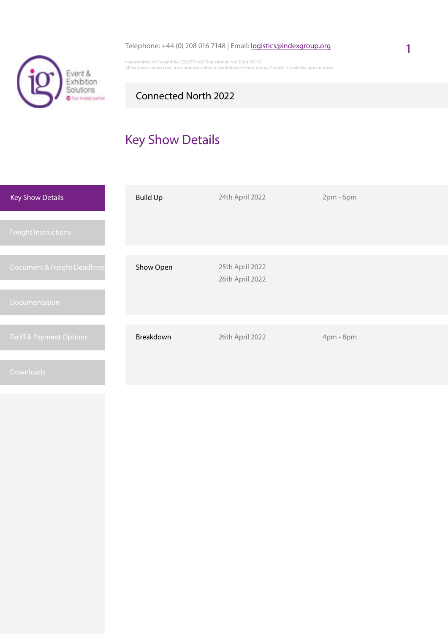

Incorporated in England No: 2326770 VAT Registration No: 506 4059 65 All business undertaken in accordance with our conditions of trade, a copy if which is available upon request

## Connected North 2022

# Key Show Details

| <b>Key Show Details</b>             | <b>Build Up</b> | 24th April 2022                    | 2pm - 6pm |
|-------------------------------------|-----------------|------------------------------------|-----------|
| <b>Freight Instructions</b>         |                 |                                    |           |
|                                     |                 |                                    |           |
| Document & Freight Deadlines        | Show Open       | 25th April 2022<br>26th April 2022 |           |
| <b>Documentation</b>                |                 |                                    |           |
|                                     |                 |                                    |           |
| <b>Tariff &amp; Payment Options</b> | Breakdown       | 26th April 2022                    | 4pm - 8pm |
| <b>Downloads</b>                    |                 |                                    |           |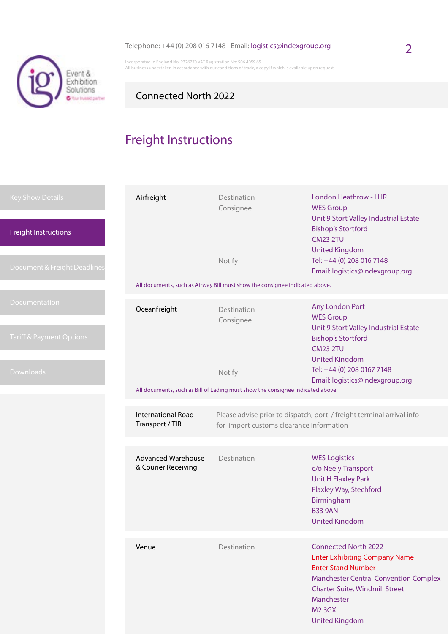

Incorporated in England No: 2326770 VAT Registration No: 506 4059 65 All business undertaken in accordance with our conditions of trade, a copy if which is available upon request

## Connected North 2022

# Freight Instructions

| <b>Key Show Details</b><br><b>Freight Instructions</b><br>Document & Freight Deadlines | Airfreight                                       | Destination<br>Consignee<br>Notify                                                       | <b>London Heathrow - LHR</b><br><b>WES Group</b><br>Unit 9 Stort Valley Industrial Estate<br><b>Bishop's Stortford</b><br><b>CM23 2TU</b><br><b>United Kingdom</b><br>Tel: +44 (0) 208 016 7148<br>Email: logistics@indexgroup.org                |
|----------------------------------------------------------------------------------------|--------------------------------------------------|------------------------------------------------------------------------------------------|---------------------------------------------------------------------------------------------------------------------------------------------------------------------------------------------------------------------------------------------------|
|                                                                                        |                                                  | All documents, such as Airway Bill must show the consignee indicated above.              |                                                                                                                                                                                                                                                   |
| Documentation<br><b>Tariff &amp; Payment Options</b>                                   | Oceanfreight                                     | Destination<br>Consignee                                                                 | Any London Port<br><b>WES Group</b><br>Unit 9 Stort Valley Industrial Estate<br><b>Bishop's Stortford</b><br><b>CM23 2TU</b><br><b>United Kingdom</b>                                                                                             |
| <b>Downloads</b>                                                                       |                                                  | Notify<br>All documents, such as Bill of Lading must show the consignee indicated above. | Tel: +44 (0) 208 0167 7148<br>Email: logistics@indexgroup.org                                                                                                                                                                                     |
|                                                                                        | <b>International Road</b><br>Transport / TIR     | for import customs clearance information                                                 | Please advise prior to dispatch, port / freight terminal arrival info                                                                                                                                                                             |
|                                                                                        | <b>Advanced Warehouse</b><br>& Courier Receiving | Destination                                                                              | <b>WES Logistics</b><br>c/o Neely Transport<br><b>Unit H Flaxley Park</b><br>Flaxley Way, Stechford<br>Birmingham<br><b>B33 9AN</b><br><b>United Kingdom</b>                                                                                      |
|                                                                                        | Venue                                            | Destination                                                                              | <b>Connected North 2022</b><br><b>Enter Exhibiting Company Name</b><br><b>Enter Stand Number</b><br><b>Manchester Central Convention Complex</b><br><b>Charter Suite, Windmill Street</b><br>Manchester<br><b>M2 3GX</b><br><b>United Kingdom</b> |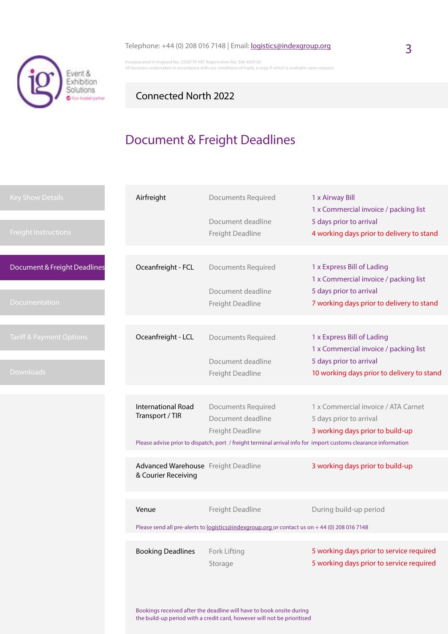

Incorporated in England No: 2326770 VAT Registration No: 506 4059 65 All business undertaken in accordance with our conditions of trade, a copy if which is available upon request

## Connected North 2022

# Document & Freight Deadlines

| <b>Key Show Details</b>             | Airfreight                                                 | <b>Documents Required</b>                                                                                      | 1 x Airway Bill<br>1 x Commercial invoice / packing list                             |
|-------------------------------------|------------------------------------------------------------|----------------------------------------------------------------------------------------------------------------|--------------------------------------------------------------------------------------|
| <b>Freight Instructions</b>         |                                                            | Document deadline<br>Freight Deadline                                                                          | 5 days prior to arrival<br>4 working days prior to delivery to stand                 |
| Document & Freight Deadlines        | Oceanfreight - FCL                                         | <b>Documents Required</b>                                                                                      | 1 x Express Bill of Lading<br>1 x Commercial invoice / packing list                  |
| Documentation                       |                                                            | Document deadline<br>Freight Deadline                                                                          | 5 days prior to arrival<br>7 working days prior to delivery to stand                 |
|                                     |                                                            |                                                                                                                |                                                                                      |
| <b>Tariff &amp; Payment Options</b> | Oceanfreight - LCL                                         | <b>Documents Required</b>                                                                                      | 1 x Express Bill of Lading<br>1 x Commercial invoice / packing list                  |
|                                     |                                                            | Document deadline                                                                                              | 5 days prior to arrival                                                              |
| Downloads                           |                                                            | Freight Deadline                                                                                               | 10 working days prior to delivery to stand                                           |
|                                     |                                                            |                                                                                                                |                                                                                      |
|                                     | <b>International Road</b>                                  | <b>Documents Required</b>                                                                                      | 1 x Commercial invoice / ATA Carnet                                                  |
|                                     | Transport / TIR                                            | Document deadline                                                                                              | 5 days prior to arrival                                                              |
|                                     |                                                            | Freight Deadline                                                                                               | 3 working days prior to build-up                                                     |
|                                     |                                                            | Please advise prior to dispatch, port / freight terminal arrival info for import customs clearance information |                                                                                      |
|                                     |                                                            |                                                                                                                |                                                                                      |
|                                     | Advanced Warehouse Freight Deadline<br>& Courier Receiving |                                                                                                                | 3 working days prior to build-up                                                     |
|                                     |                                                            |                                                                                                                |                                                                                      |
|                                     | Venue                                                      | Freight Deadline                                                                                               | During build-up period                                                               |
|                                     |                                                            | Please send all pre-alerts to logistics@indexgroup.org or contact us on +44 (0) 208 016 7148                   |                                                                                      |
|                                     |                                                            |                                                                                                                |                                                                                      |
|                                     | <b>Booking Deadlines</b>                                   | Fork Lifting                                                                                                   | 5 working days prior to service required<br>5 working days prior to service required |
|                                     |                                                            | Storage                                                                                                        |                                                                                      |

Bookings received after the deadline will have to book onsite during the build-up period with a credit card, however will not be prioritised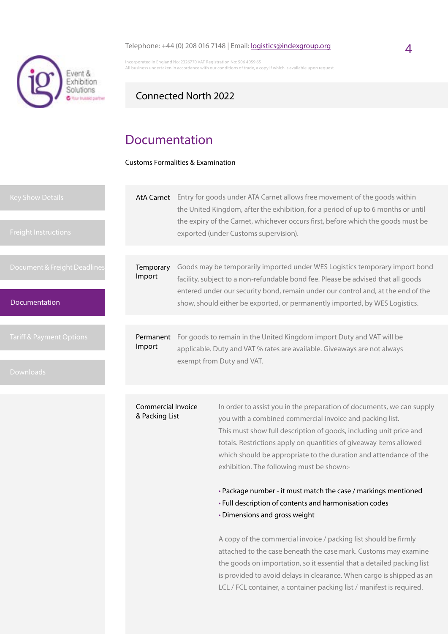#### Telephone:  $+44$  (0) 208 016 7148 | Email: **logistics@indexgroup.org** 4



Incorporated in England No: 2326770 VAT Registration No: 506 4059 65 ess undertaken in accordance with our conditions of trade, a copy if which is available upon

### Connected North 2022

## Documentation

Customs Formalities & Examination

| <b>Key Show Details</b><br><b>Freight Instructions</b> |                                      |                                                                                                                                                   | AtA Carnet Entry for goods under ATA Carnet allows free movement of the goods within<br>the United Kingdom, after the exhibition, for a period of up to 6 months or until<br>the expiry of the Carnet, whichever occurs first, before which the goods must be<br>exported (under Customs supervision). |
|--------------------------------------------------------|--------------------------------------|---------------------------------------------------------------------------------------------------------------------------------------------------|--------------------------------------------------------------------------------------------------------------------------------------------------------------------------------------------------------------------------------------------------------------------------------------------------------|
|                                                        |                                      |                                                                                                                                                   |                                                                                                                                                                                                                                                                                                        |
| Document & Freight Deadlines                           | Temporary<br>Import                  |                                                                                                                                                   | Goods may be temporarily imported under WES Logistics temporary import bond<br>facility, subject to a non-refundable bond fee. Please be advised that all goods                                                                                                                                        |
| <b>Documentation</b>                                   |                                      |                                                                                                                                                   | entered under our security bond, remain under our control and, at the end of the<br>show, should either be exported, or permanently imported, by WES Logistics.                                                                                                                                        |
|                                                        |                                      |                                                                                                                                                   |                                                                                                                                                                                                                                                                                                        |
| <b>Tariff &amp; Payment Options</b>                    | Permanent<br>Import                  | For goods to remain in the United Kingdom import Duty and VAT will be<br>applicable. Duty and VAT % rates are available. Giveaways are not always |                                                                                                                                                                                                                                                                                                        |
| <b>Downloads</b>                                       |                                      |                                                                                                                                                   | exempt from Duty and VAT.                                                                                                                                                                                                                                                                              |
|                                                        |                                      |                                                                                                                                                   |                                                                                                                                                                                                                                                                                                        |
|                                                        | Commercial Invoice<br>& Packing List |                                                                                                                                                   | In order to assist you in the preparation of documents, we can supply<br>vou with a combined commercial invoice and packing list                                                                                                                                                                       |

you with a combined commercial invoice and packing list. This must show full description of goods, including unit price and totals. Restrictions apply on quantities of giveaway items allowed which should be appropriate to the duration and attendance of the exhibition. The following must be shown:-

• Package number - it must match the case / markings mentioned

- Full description of contents and harmonisation codes
- Dimensions and gross weight

A copy of the commercial invoice / packing list should be firmly attached to the case beneath the case mark. Customs may examine the goods on importation, so it essential that a detailed packing list is provided to avoid delays in clearance. When cargo is shipped as an LCL / FCL container, a container packing list / manifest is required.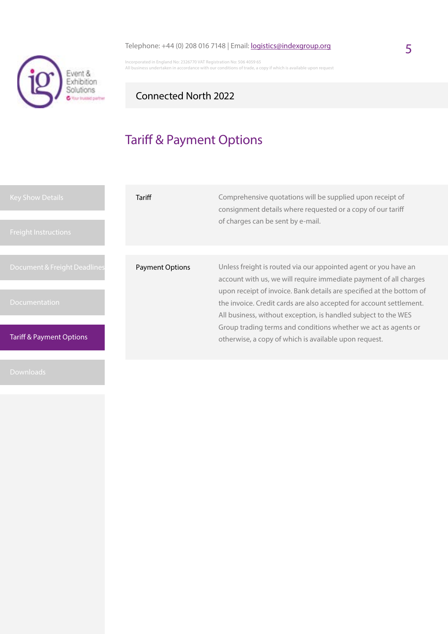

Incorporated in England No: 2326770 VAT Registration No: 506 4059 65 All business undertaken in accordance with our conditions of trade, a copy if which is available upon request

## Connected North 2022

# Tariff & Payment Options

| <b>Key Show Details</b><br><b>Freight Instructions</b> | Tariff                 | Comprehensive quotations will be supplied upon receipt of<br>consignment details where requested or a copy of our tariff<br>of charges can be sent by e-mail.                                                                                                                                                                                         |
|--------------------------------------------------------|------------------------|-------------------------------------------------------------------------------------------------------------------------------------------------------------------------------------------------------------------------------------------------------------------------------------------------------------------------------------------------------|
| Document & Freight Deadlines<br><b>Documentation</b>   | <b>Payment Options</b> | Unless freight is routed via our appointed agent or you have an<br>account with us, we will require immediate payment of all charges<br>upon receipt of invoice. Bank details are specified at the bottom of<br>the invoice. Credit cards are also accepted for account settlement.<br>All business, without exception, is handled subject to the WES |
| <b>Tariff &amp; Payment Options</b>                    |                        | Group trading terms and conditions whether we act as agents or<br>otherwise, a copy of which is available upon request.                                                                                                                                                                                                                               |